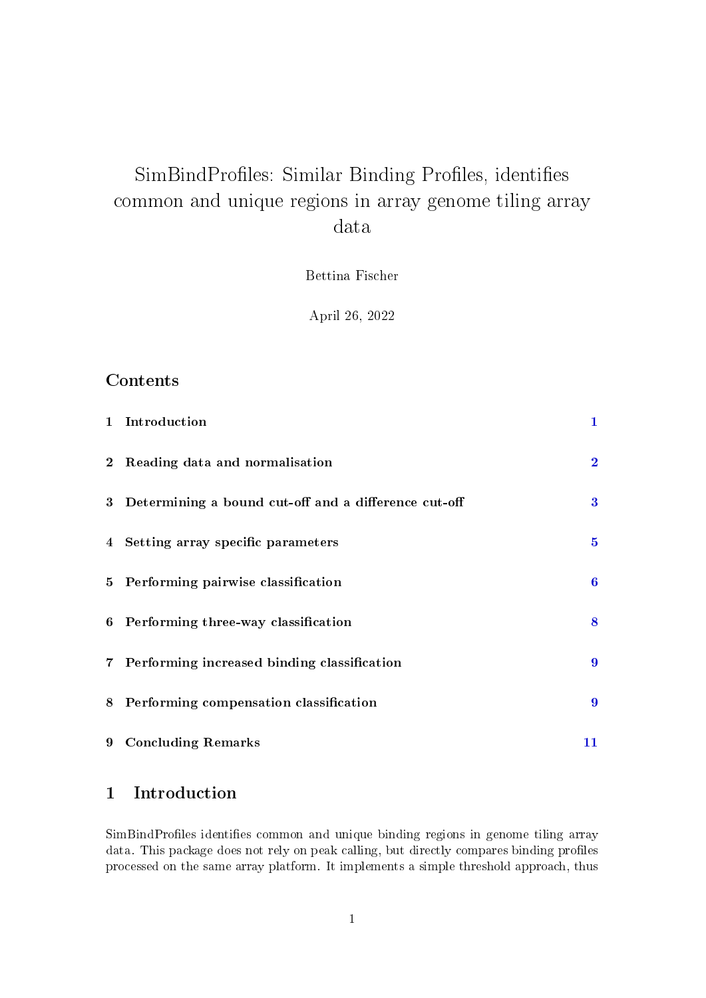# SimBindProfiles: Similar Binding Profiles, identifies common and unique regions in array genome tiling array data

Bettina Fischer

April 26, 2022

## Contents

| 1 Introduction                                         | $\mathbf 1$      |
|--------------------------------------------------------|------------------|
| 2 Reading data and normalisation                       | $\overline{2}$   |
| 3 Determining a bound cut-off and a difference cut-off | 3                |
| 4 Setting array specific parameters                    | $\bf{5}$         |
| 5 Performing pairwise classification                   | 6                |
| 6 Performing three-way classification                  | 8                |
| 7 Performing increased binding classification          | 9                |
| 8 Performing compensation classification               | $\boldsymbol{9}$ |
| 9 Concluding Remarks                                   | 11               |

## <span id="page-0-0"></span>1 Introduction

SimBindProfiles identifies common and unique binding regions in genome tiling array data. This package does not rely on peak calling, but directly compares binding profiles processed on the same array platform. It implements a simple threshold approach, thus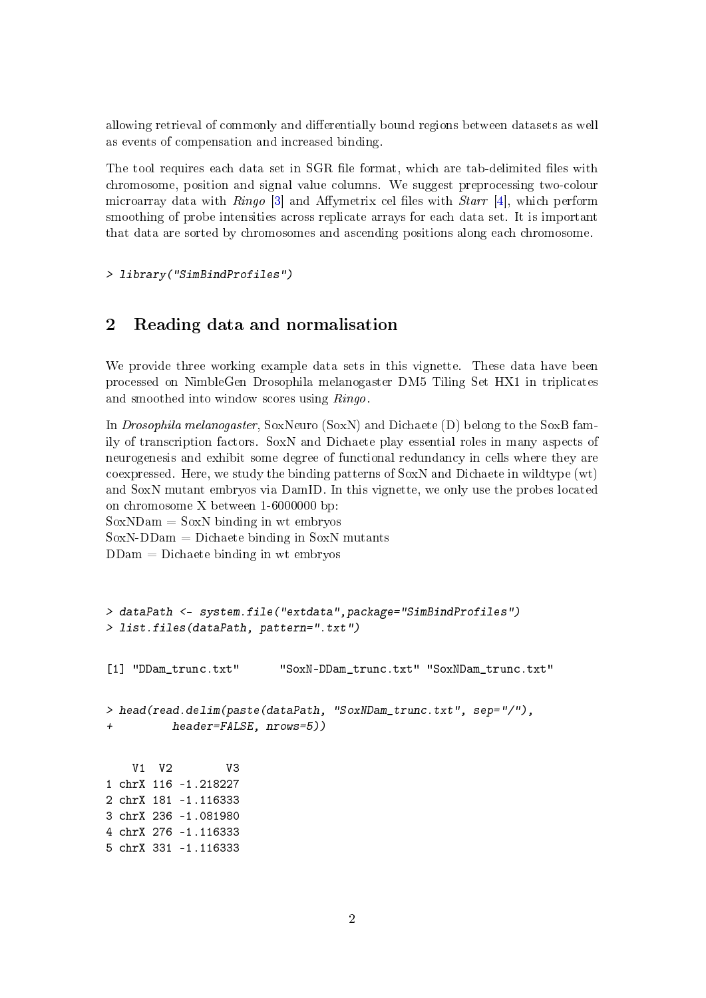allowing retrieval of commonly and differentially bound regions between datasets as well as events of compensation and increased binding.

The tool requires each data set in SGR file format, which are tab-delimited files with chromosome, position and signal value columns. We suggest preprocessing two-colour microarray data with  $Ringo$  [\[3\]](#page-13-0) and Affymetrix cel files with *Starr* [\[4\]](#page-13-1), which perform smoothing of probe intensities across replicate arrays for each data set. It is important that data are sorted by chromosomes and ascending positions along each chromosome.

> library("SimBindProfiles")

#### <span id="page-1-0"></span>2 Reading data and normalisation

We provide three working example data sets in this vignette. These data have been processed on NimbleGen Drosophila melanogaster DM5 Tiling Set HX1 in triplicates and smoothed into window scores using Ringo.

In Drosophila melanogaster, SoxNeuro (SoxN) and Dichaete (D) belong to the SoxB family of transcription factors. SoxN and Dichaete play essential roles in many aspects of neurogenesis and exhibit some degree of functional redundancy in cells where they are coexpressed. Here, we study the binding patterns of SoxN and Dichaete in wildtype (wt) and SoxN mutant embryos via DamID. In this vignette, we only use the probes located on chromosome X between 1-6000000 bp:  $SoxNDam = SoxN$  binding in wt embryos

```
SoxN-DDam = Dichaete binding in SoxN mutants
```
 $DDam = Dichaete binding in wt embryos$ 

```
> dataPath <- system.file("extdata",package="SimBindProfiles")
> list.files(dataPath, pattern=".txt")
[1] "DDam_trunc.txt" "SoxN-DDam_trunc.txt" "SoxNDam_trunc.txt"
> head(read.delim(paste(dataPath, "SoxNDam_trunc.txt", sep="/"),
+ header=FALSE, nrows=5))
   V1 V2 V3
1 chrX 116 -1.218227
2 chrX 181 -1.116333
3 chrX 236 -1.081980
4 chrX 276 -1.116333
5 chrX 331 -1.116333
```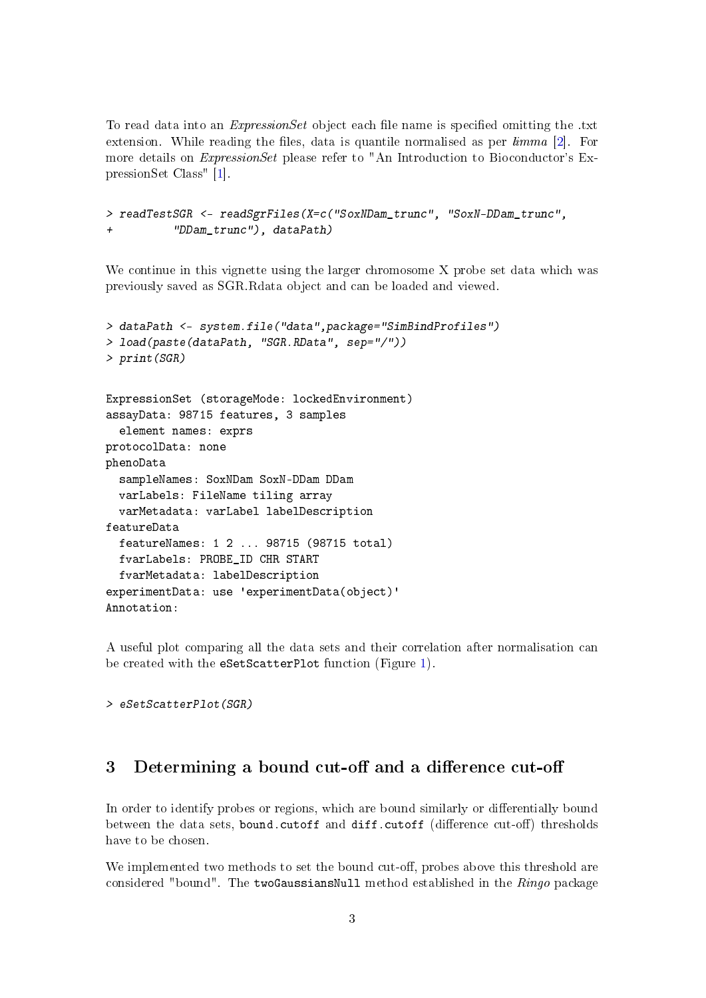To read data into an *ExpressionSet* object each file name is specified omitting the .txt extension. While reading the files, data is quantile normalised as per  $\lim_{n \to \infty}$  [\[2\]](#page-13-2). For more details on ExpressionSet please refer to "An Introduction to Bioconductor's ExpressionSet Class" [\[1\]](#page-12-0).

```
> readTestSGR <- readSgrFiles(X=c("SoxNDam_trunc", "SoxN-DDam_trunc",
+ "DDam_trunc"), dataPath)
```
We continue in this vignette using the larger chromosome X probe set data which was previously saved as SGR.Rdata object and can be loaded and viewed.

```
> dataPath <- system.file("data",package="SimBindProfiles")
> load(paste(dataPath, "SGR.RData", sep="/"))
> print(SGR)
ExpressionSet (storageMode: lockedEnvironment)
assayData: 98715 features, 3 samples
  element names: exprs
protocolData: none
phenoData
  sampleNames: SoxNDam SoxN-DDam DDam
  varLabels: FileName tiling array
  varMetadata: varLabel labelDescription
featureData
  featureNames: 1 2 ... 98715 (98715 total)
  fvarLabels: PROBE_ID CHR START
  fvarMetadata: labelDescription
experimentData: use 'experimentData(object)'
Annotation:
```
A useful plot comparing all the data sets and their correlation after normalisation can be created with the eSetScatterPlot function (Figure [1\)](#page-3-0).

> eSetScatterPlot(SGR)

#### <span id="page-2-0"></span>3 Determining a bound cut-off and a difference cut-off

In order to identify probes or regions, which are bound similarly or differentially bound between the data sets, bound.cutoff and diff.cutoff (difference cut-off) thresholds have to be chosen.

We implemented two methods to set the bound cut-off, probes above this threshold are considered "bound". The twoGaussiansNull method established in the Ringo package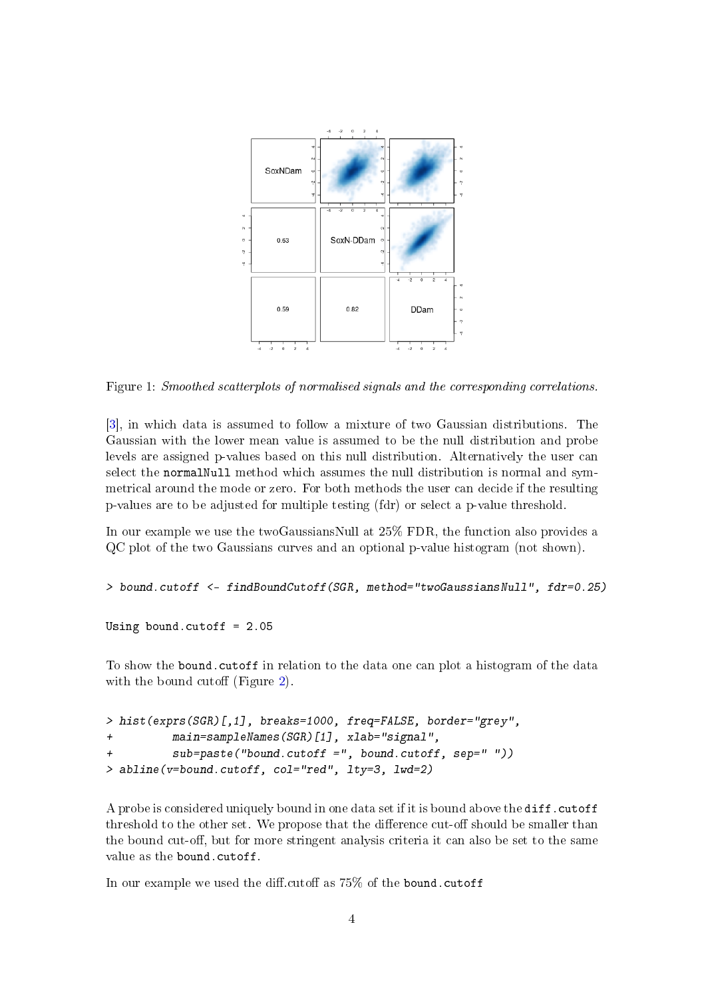

<span id="page-3-0"></span>Figure 1: Smoothed scatterplots of normalised signals and the corresponding correlations.

[\[3\]](#page-13-0), in which data is assumed to follow a mixture of two Gaussian distributions. The Gaussian with the lower mean value is assumed to be the null distribution and probe levels are assigned p-values based on this null distribution. Alternatively the user can select the normalNull method which assumes the null distribution is normal and symmetrical around the mode or zero. For both methods the user can decide if the resulting p-values are to be adjusted for multiple testing (fdr) or select a p-value threshold.

In our example we use the twoGaussiansNull at 25% FDR, the function also provides a QC plot of the two Gaussians curves and an optional p-value histogram (not shown).

```
> bound.cutoff <- findBoundCutoff(SGR, method="twoGaussiansNull", fdr=0.25)
```
Using bound.cutoff = 2.05

To show the bound.cutoff in relation to the data one can plot a histogram of the data with the bound cutoff (Figure [2\)](#page-4-1).

```
> hist(exprs(SGR)[,1], breaks=1000, freq=FALSE, border="grey",
+ main=sampleNames(SGR)[1], xlab="signal",
+ sub=paste("bound.cutoff =", bound.cutoff, sep=" "))
> abline(v=bound.cutoff, col="red", lty=3, lwd=2)
```
A probe is considered uniquely bound in one data set if it is bound above the diff.cutoff threshold to the other set. We propose that the difference cut-off should be smaller than the bound cut-off, but for more stringent analysis criteria it can also be set to the same value as the bound.cutoff.

In our example we used the diff.cutoff as  $75\%$  of the bound.cutoff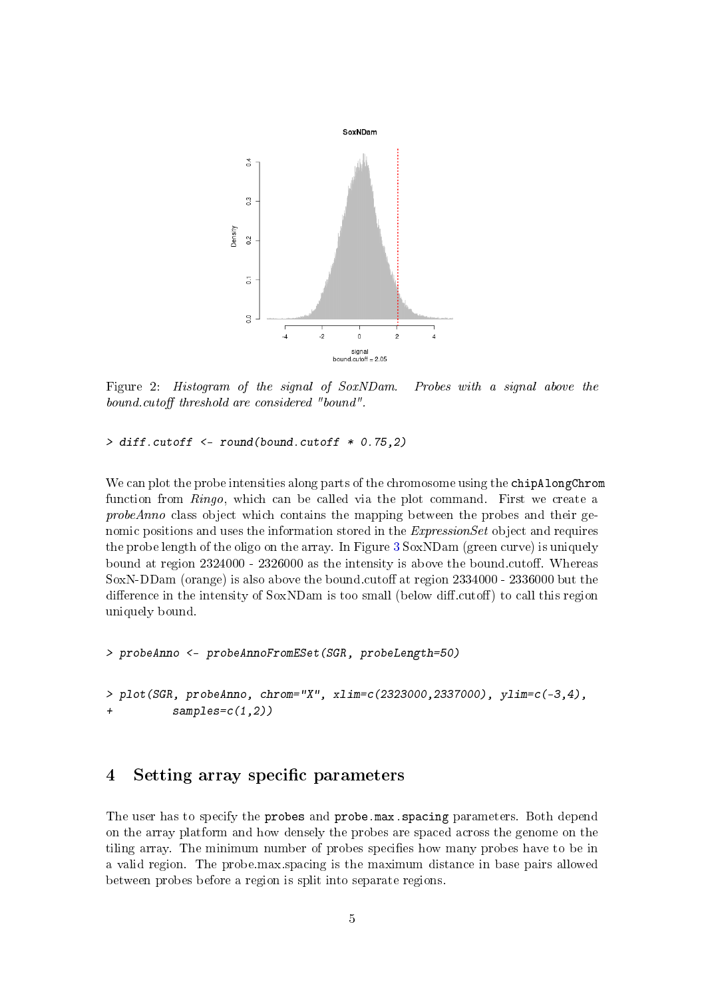

<span id="page-4-1"></span>Figure 2: Histogram of the signal of SoxNDam. Probes with a signal above the bound.cutoff threshold are considered "bound".

> diff.cutoff <- round(bound.cutoff \* 0.75,2)

We can plot the probe intensities along parts of the chromosome using the chipAlongChrom function from Ringo, which can be called via the plot command. First we create a probeAnno class object which contains the mapping between the probes and their genomic positions and uses the information stored in the ExpressionSet object and requires the probe length of the oligo on the array. In Figure [3](#page-5-1) SoxNDam (green curve) is uniquely bound at region 2324000 - 2326000 as the intensity is above the bound.cutoff. Whereas SoxN-DDam (orange) is also above the bound.cutoff at region  $2334000 - 2336000$  but the difference in the intensity of  $SoxNDam$  is too small (below diff.cutoff) to call this region uniquely bound.

```
> probeAnno <- probeAnnoFromESet(SGR, probeLength=50)
```

```
> plot(SGR, probeAnno, chrom="X", xlim=c(2323000, 2337000), vlim=c(-3, 4),samples=c(1,2))
```
#### <span id="page-4-0"></span>4 Setting array specific parameters

The user has to specify the probes and probe.max.spacing parameters. Both depend on the array platform and how densely the probes are spaced across the genome on the tiling array. The minimum number of probes specifies how many probes have to be in a valid region. The probe.max.spacing is the maximum distance in base pairs allowed between probes before a region is split into separate regions.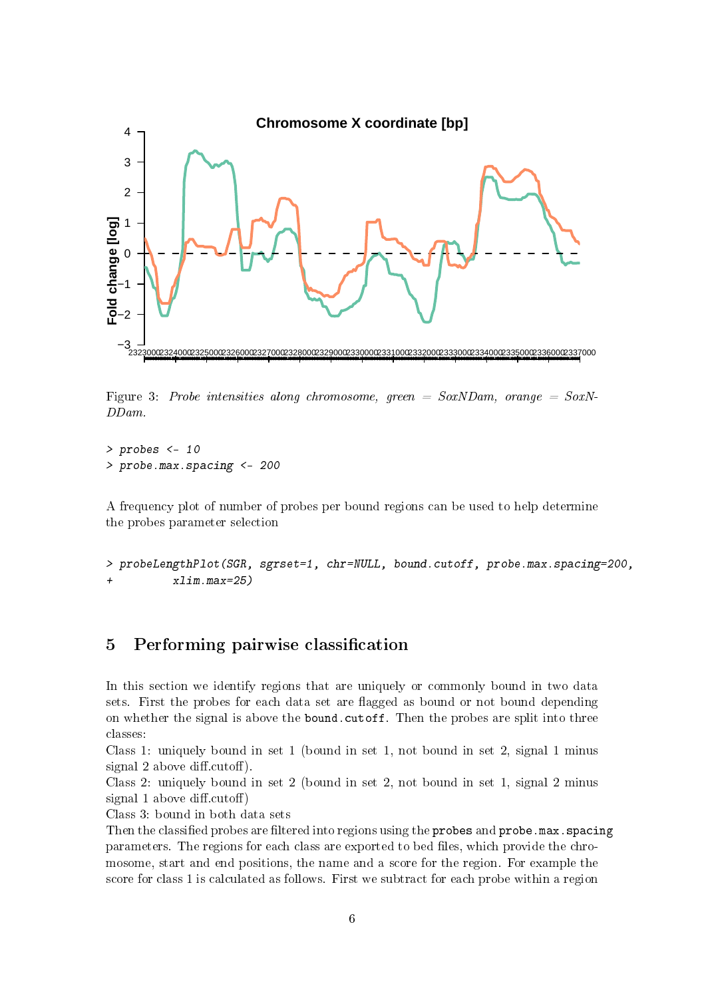

<span id="page-5-1"></span>Figure 3: Probe intensities along chromosome, green =  $SoxNDam$ , orange =  $SoxN$ -DDam.

 $>$  probes  $<-10$ > probe.max.spacing <- 200

A frequency plot of number of probes per bound regions can be used to help determine the probes parameter selection

> probeLengthPlot(SGR, sgrset=1, chr=NULL, bound.cutoff, probe.max.spacing=200,  $+$   $x \lim_{x \to \infty} \frac{m}{25}$ 

## <span id="page-5-0"></span>5 Performing pairwise classification

In this section we identify regions that are uniquely or commonly bound in two data sets. First the probes for each data set are flagged as bound or not bound depending on whether the signal is above the bound.cutoff. Then the probes are split into three classes:

Class 1: uniquely bound in set 1 (bound in set 1, not bound in set 2, signal 1 minus signal 2 above diff.cutoff).

Class 2: uniquely bound in set 2 (bound in set 2, not bound in set 1, signal 2 minus signal 1 above diff.cutoff)

Class 3: bound in both data sets

Then the classified probes are filtered into regions using the probes and probe.max.spacing parameters. The regions for each class are exported to bed files, which provide the chromosome, start and end positions, the name and a score for the region. For example the score for class 1 is calculated as follows. First we subtract for each probe within a region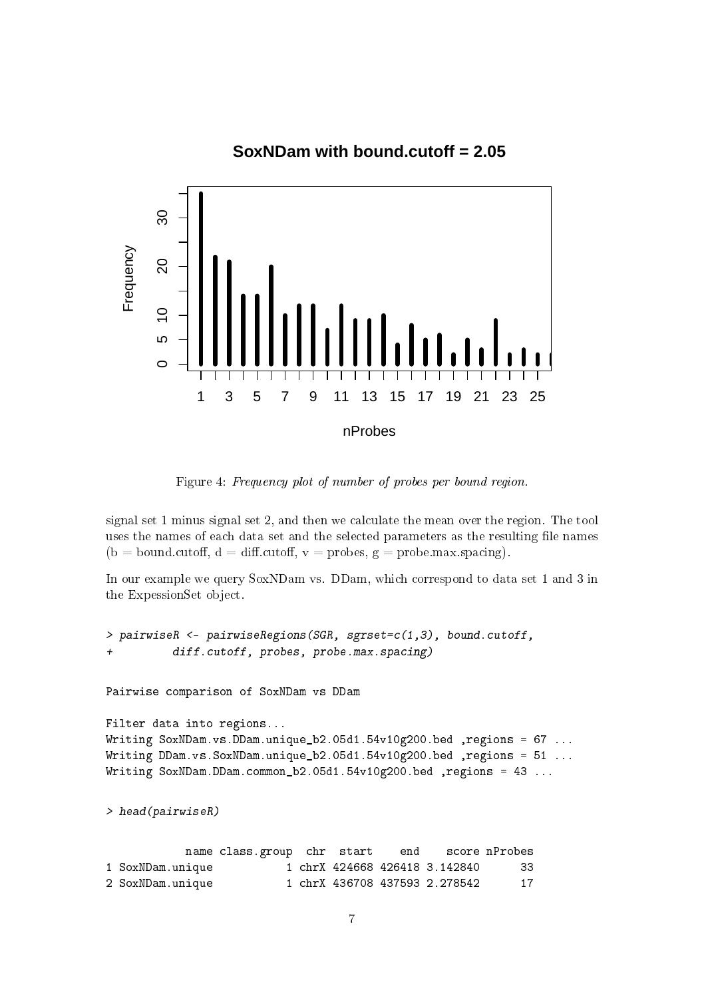## **SoxNDam with bound.cutoff = 2.05**



Figure 4: Frequency plot of number of probes per bound region.

signal set 1 minus signal set 2, and then we calculate the mean over the region. The tool uses the names of each data set and the selected parameters as the resulting file names (b = bound.cutoff, d = diff.cutoff, v = probes, g = probe.max.spacing).

In our example we query SoxNDam vs. DDam, which correspond to data set 1 and 3 in the ExpessionSet object.

> pairwiseR <- pairwiseRegions(SGR, sgrset=c(1,3), bound.cutoff, diff.cutoff, probes, probe.max.spacing) Pairwise comparison of SoxNDam vs DDam Filter data into regions... Writing SoxNDam.vs.DDam.unique\_b2.05d1.54v10g200.bed ,regions = 67 ... Writing DDam.vs.SoxNDam.unique\_b2.05d1.54v10g200.bed ,regions = 51 ... Writing SoxNDam.DDam.common\_b2.05d1.54v10g200.bed ,regions = 43 ... > head(pairwiseR) name class.group chr start end score nProbes 1 SoxNDam.unique 1 chrX 424668 426418 3.142840 33 2 SoxNDam.unique 1 chrX 436708 437593 2.278542 17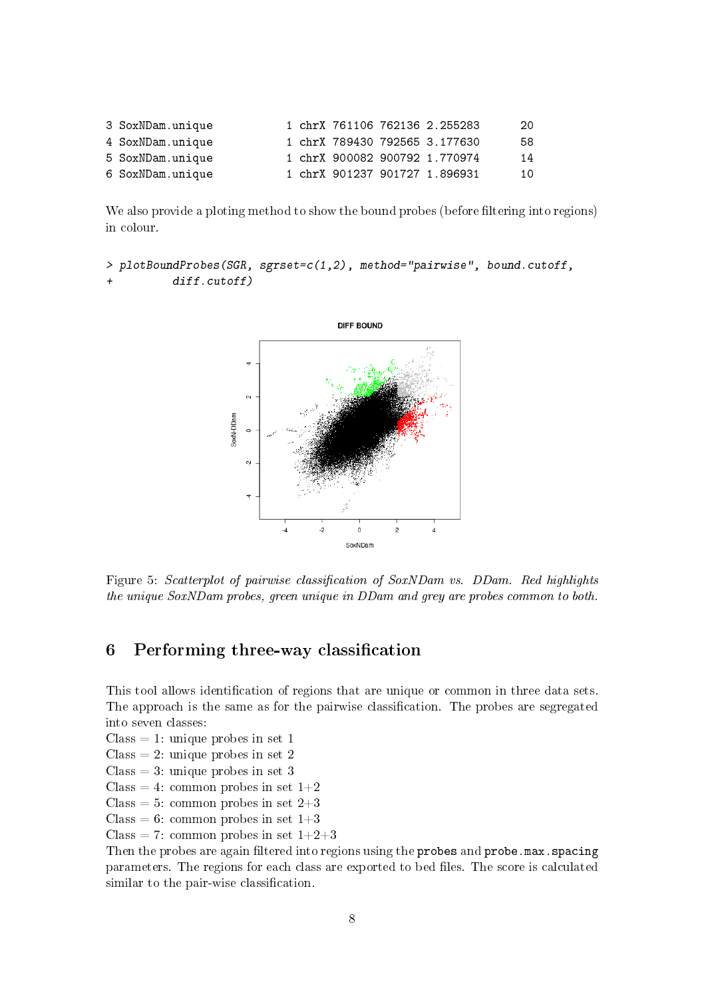| 3 SoxNDam.unique |  |  | 1 chrX 761106 762136 2.255283 | 20 |
|------------------|--|--|-------------------------------|----|
| 4 SoxNDam.unique |  |  | 1 chrX 789430 792565 3.177630 | 58 |
| 5 SoxNDam.unique |  |  | 1 chrX 900082 900792 1.770974 | 14 |
| 6 SoxNDam.unique |  |  | 1 chrX 901237 901727 1.896931 | 10 |

We also provide a ploting method to show the bound probes (before filtering into regions) in colour.

```
> plotBoundProbes(SGR, sgrset=c(1,2), method="pairwise", bound.cutoff,
+ diff.cutoff)
```


Figure 5: Scatterplot of pairwise classification of SoxNDam vs. DDam. Red highlights the unique SoxNDam probes, green unique in DDam and grey are probes common to both.

#### <span id="page-7-0"></span>6 Performing three-way classification

This tool allows identification of regions that are unique or common in three data sets. The approach is the same as for the pairwise classification. The probes are segregated into seven classes:

- $Class = 1: unique probes in set 1$
- $Class = 2: unique probes in set 2$
- $Class = 3:$  unique probes in set 3
- Class = 4: common probes in set  $1+2$
- Class = 5: common probes in set  $2+3$
- Class = 6: common probes in set  $1+3$
- Class = 7: common probes in set  $1+2+3$

Then the probes are again filtered into regions using the probes and probe.max.spacing parameters. The regions for each class are exported to bed files. The score is calculated similar to the pair-wise classification.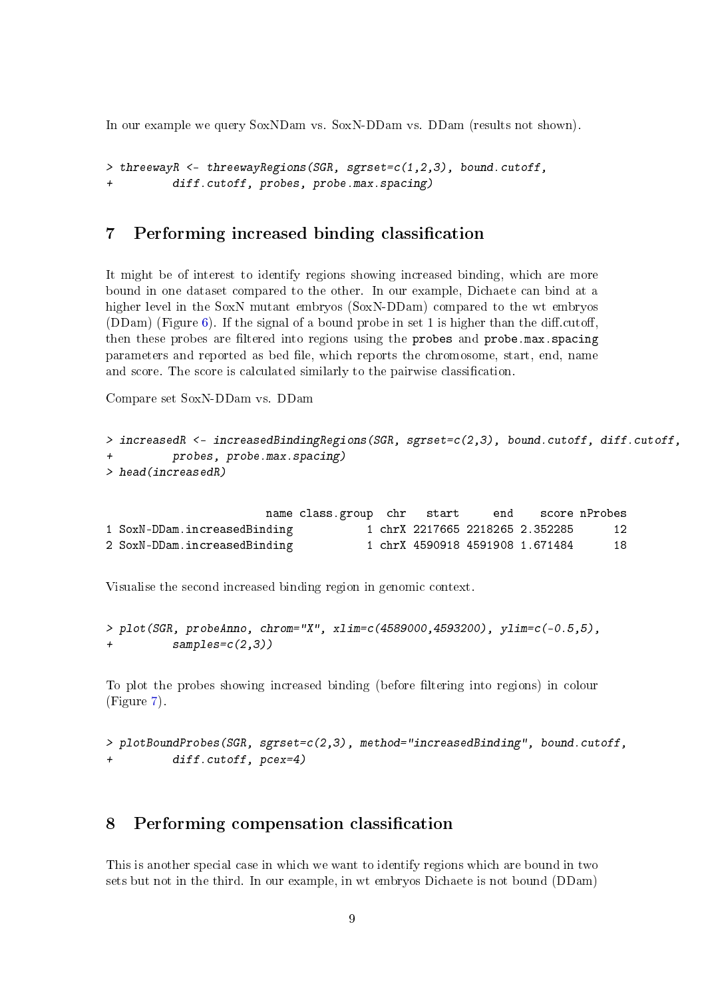In our example we query SoxNDam vs. SoxN-DDam vs. DDam (results not shown).

```
> threewayR <- threewayRegions(SGR, sgrset=c(1,2,3), bound.cutoff,
          diff.cutoff, probes, probe.max.spacing)
```
## <span id="page-8-0"></span>7 Performing increased binding classification

It might be of interest to identify regions showing increased binding, which are more bound in one dataset compared to the other. In our example, Dichaete can bind at a higher level in the SoxN mutant embryos (SoxN-DDam) compared to the wt embryos  $(DDam)$  (Figure [6\)](#page-9-0). If the signal of a bound probe in set 1 is higher than the diff.cutoff, then these probes are filtered into regions using the probes and probe.max.spacing parameters and reported as bed file, which reports the chromosome, start, end, name and score. The score is calculated similarly to the pairwise classification.

Compare set SoxN-DDam vs. DDam

```
> increasedR <- increasedBindingRegions(SGR, sgrset=c(2,3), bound.cutoff, diff.cutoff,
          probes, probe.max.spacing)
> head(increasedR)
```

|                              | name class.group chr start |  | end score nProbes               |    |
|------------------------------|----------------------------|--|---------------------------------|----|
| 1 SoxN-DDam.increasedBinding |                            |  | 1 chrX 2217665 2218265 2.352285 | 12 |
| 2 SoxN-DDam.increasedBinding |                            |  | 1 chrX 4590918 4591908 1.671484 | 18 |

Visualise the second increased binding region in genomic context.

```
> plot(SGR, probeAnno, chrom="X", xlim=c(4589000,4593200), ylim=c(-0.5,5),
+ samples=c(2,3))
```
To plot the probes showing increased binding (before filtering into regions) in colour (Figure [7\)](#page-9-1).

> plotBoundProbes(SGR, sgrset=c(2,3), method="increasedBinding", bound.cutoff, + diff.cutoff, pcex=4)

## <span id="page-8-1"></span>8 Performing compensation classification

This is another special case in which we want to identify regions which are bound in two sets but not in the third. In our example, in wt embryos Dichaete is not bound (DDam)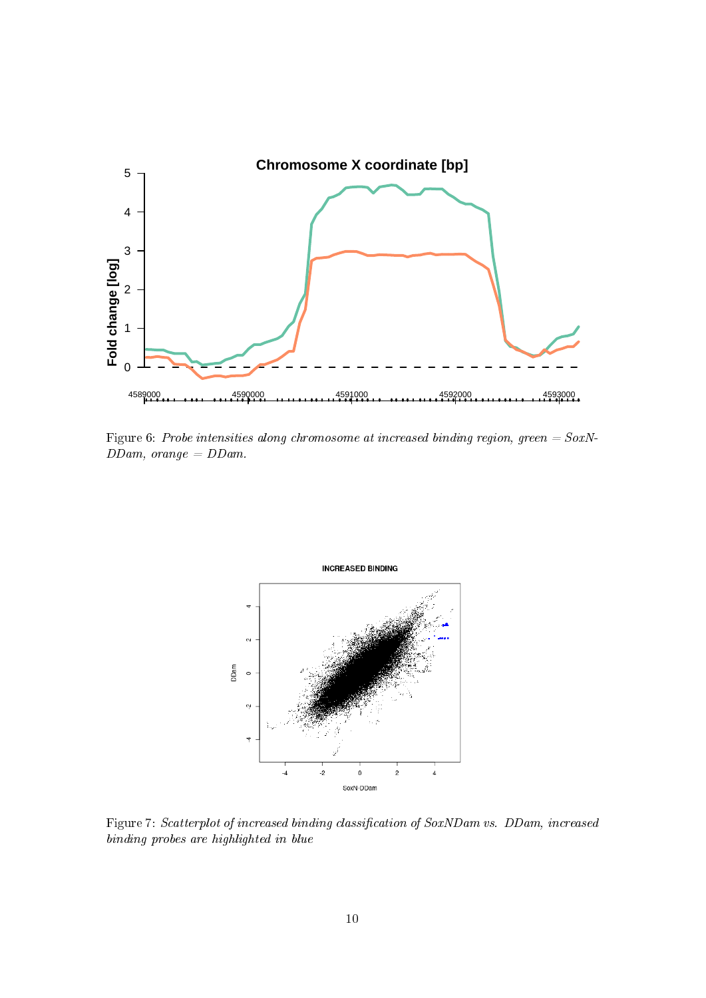

<span id="page-9-0"></span>Figure 6: Probe intensities along chromosome at increased binding region, green =  $SoxN$ - $DDam$ , orange =  $DDam$ .



<span id="page-9-1"></span>Figure 7: Scatterplot of increased binding classification of SoxNDam vs. DDam, increased binding probes are highlighted in blue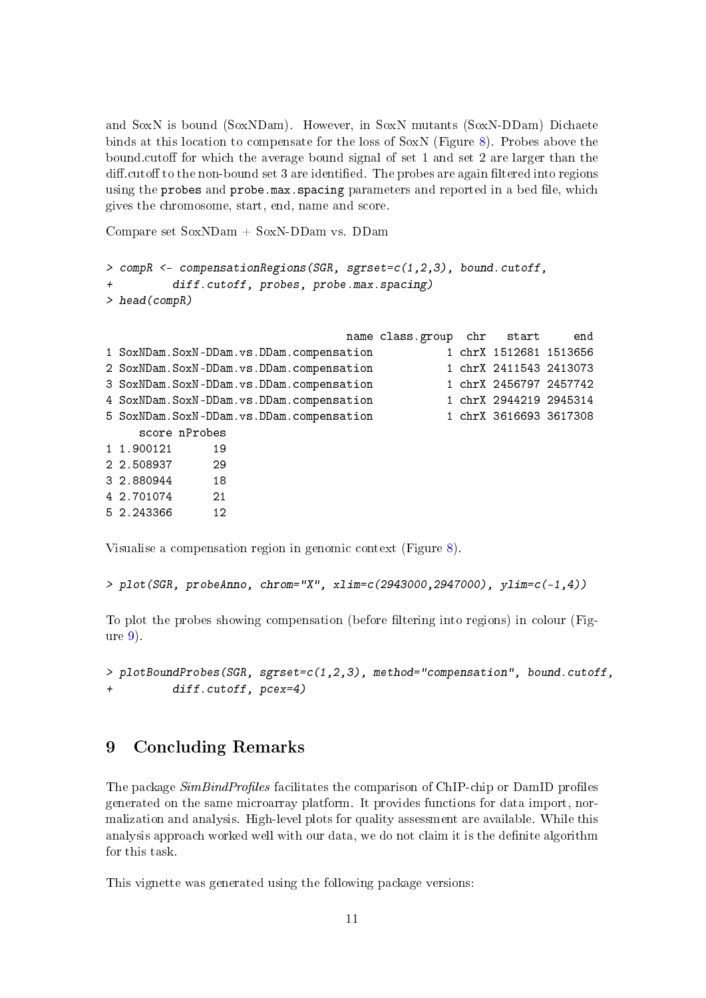and SoxN is bound (SoxNDam). However, in SoxN mutants (SoxN-DDam) Dichaete binds at this location to compensate for the loss of SoxN (Figure [8\)](#page-11-0). Probes above the bound.cutoff for which the average bound signal of set  $1$  and set  $2$  are larger than the diff.cutoff to the non-bound set 3 are identified. The probes are again filtered into regions using the probes and probe.max.spacing parameters and reported in a bed file, which gives the chromosome, start, end, name and score.

Compare set SoxNDam + SoxN-DDam vs. DDam

```
> compR <- compensationRegions(SGR, sgrset=c(1,2,3), bound.cutoff,
          diff.cutoff, probes, probe.max.spacing)
> head(compR)
```

|                                              | name class.group chr start |                        | end |
|----------------------------------------------|----------------------------|------------------------|-----|
| 1 SoxNDam.SoxN-DDam.vs.DDam.compensation     |                            | 1 chrX 1512681 1513656 |     |
| 2 SoxNDam.SoxN-DDam.vs.DDam.compensation     |                            | 1 chrX 2411543 2413073 |     |
| 3 SoxNDam. SoxN-DDam. vs. DDam. compensation |                            | 1 chrX 2456797 2457742 |     |
| 4 SoxNDam. SoxN-DDam. vs. DDam. compensation |                            | 1 chrX 2944219 2945314 |     |
| 5 SoxNDam.SoxN-DDam.vs.DDam.compensation     |                            | 1 chrX 3616693 3617308 |     |
| score nProbes                                |                            |                        |     |
| 1 1.900121<br>19                             |                            |                        |     |
| 2 2.508937<br>-29                            |                            |                        |     |
| - 18<br>3 2.880944                           |                            |                        |     |
| 21<br>4 2.701074                             |                            |                        |     |
| 5 2.243366<br>12                             |                            |                        |     |

Visualise a compensation region in genomic context (Figure [8\)](#page-11-0).

```
> plot(SGR, probeAnno, chrom="X", xlim=c(2943000,2947000), ylim=c(-1,4))
```
To plot the probes showing compensation (before filtering into regions) in colour (Figure [9\)](#page-11-1).

```
> plotBoundProbes(SGR, sgrset=c(1,2,3), method="compensation", bound.cutoff,
+ diff.cutoff, pcex=4)
```
## <span id="page-10-0"></span>9 Concluding Remarks

The package SimBindProfiles facilitates the comparison of ChIP-chip or DamID profiles generated on the same microarray platform. It provides functions for data import, normalization and analysis. High-level plots for quality assessment are available. While this analysis approach worked well with our data, we do not claim it is the definite algorithm for this task.

This vignette was generated using the following package versions: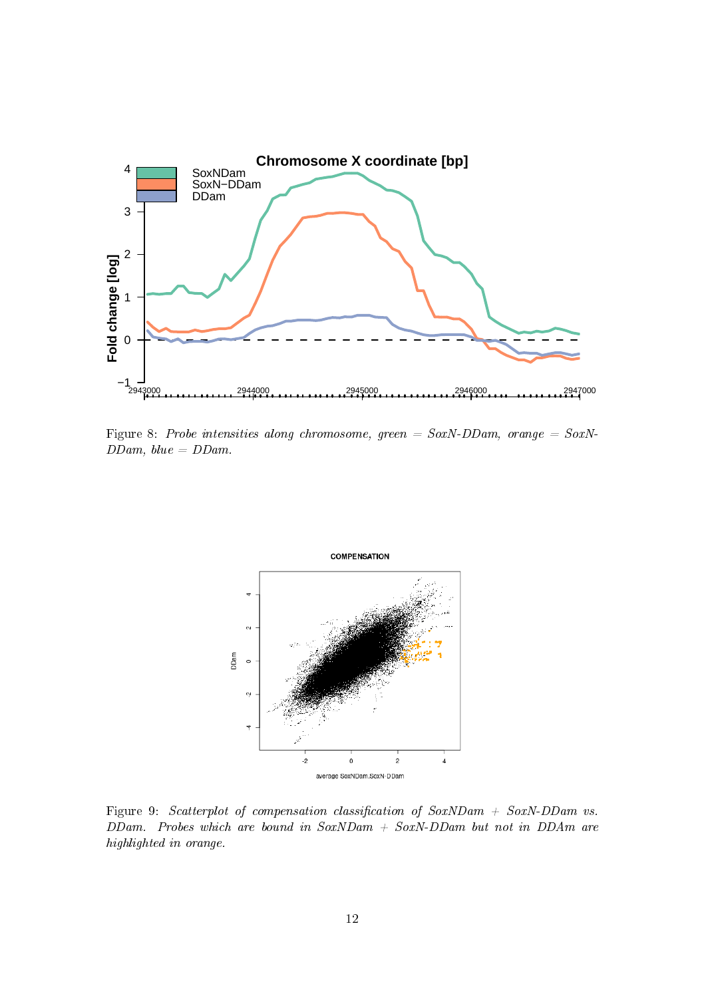

<span id="page-11-0"></span>Figure 8: Probe intensities along chromosome, green =  $SoxN-DDam$ , orange =  $SoxN$ - $DDam, blue = DDam.$ 



<span id="page-11-1"></span>Figure 9: Scatterplot of compensation classification of  $SoxNDam + SoxN-DDam$  vs.  $DDam.$  Probes which are bound in  $SoxNDam + SoxN-DDam$  but not in  $DDAm$  are highlighted in orange.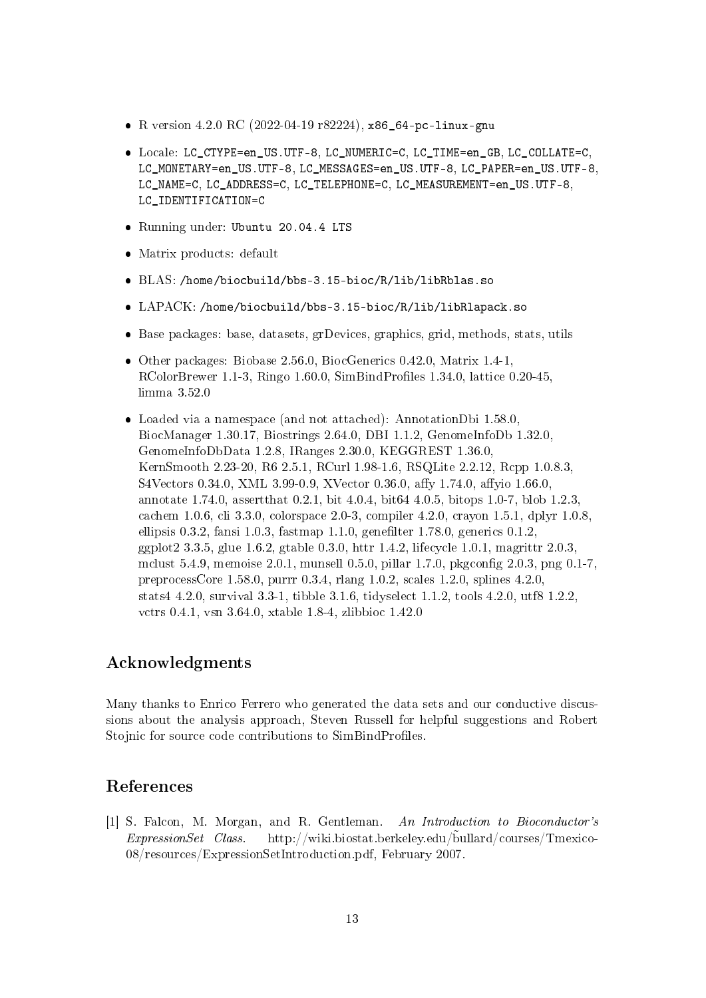- R version 4.2.0 RC (2022-04-19 r82224), x86\_64-pc-linux-gnu
- Locale: LC\_CTYPE=en\_US.UTF-8, LC\_NUMERIC=C, LC\_TIME=en\_GB, LC\_COLLATE=C, LC\_MONETARY=en\_US.UTF-8, LC\_MESSAGES=en\_US.UTF-8, LC\_PAPER=en\_US.UTF-8, LC\_NAME=C, LC\_ADDRESS=C, LC\_TELEPHONE=C, LC\_MEASUREMENT=en\_US.UTF-8, LC\_IDENTIFICATION=C
- Running under: Ubuntu 20.04.4 LTS
- Matrix products: default
- BLAS: /home/biocbuild/bbs-3.15-bioc/R/lib/libRblas.so
- LAPACK: /home/biocbuild/bbs-3.15-bioc/R/lib/libRlapack.so
- Base packages: base, datasets, grDevices, graphics, grid, methods, stats, utils
- Other packages: Biobase 2.56.0, BiocGenerics 0.42.0, Matrix 1.4-1, RColorBrewer 1.1-3, Ringo 1.60.0, SimBindProfiles 1.34.0, lattice  $0.20-45$ , limma 3.52.0
- Loaded via a namespace (and not attached): AnnotationDbi 1.58.0, BiocManager 1.30.17, Biostrings 2.64.0, DBI 1.1.2, GenomeInfoDb 1.32.0, GenomeInfoDbData 1.2.8, IRanges 2.30.0, KEGGREST 1.36.0, KernSmooth 2.23-20, R6 2.5.1, RCurl 1.98-1.6, RSQLite 2.2.12, Rcpp 1.0.8.3, S4Vectors 0.34.0, XML 3.99-0.9, XVector 0.36.0, affy 1.74.0, affyio 1.66.0, annotate 1.74.0, assertthat 0.2.1, bit 4.0.4, bit64 4.0.5, bitops 1.0-7, blob 1.2.3, cachem 1.0.6, cli 3.3.0, colorspace 2.0-3, compiler 4.2.0, crayon 1.5.1, dplyr 1.0.8, ellipsis 0.3.2, fansi 1.0.3, fastmap 1.1.0, genefilter 1.78.0, generics 0.1.2, ggplot2 3.3.5, glue 1.6.2, gtable 0.3.0, httr 1.4.2, lifecycle 1.0.1, magrittr 2.0.3, mclust 5.4.9, memoise  $2.0.1$ , munsell  $0.5.0$ , pillar  $1.7.0$ , pkgconfig  $2.0.3$ , png  $0.1-7$ , preprocessCore 1.58.0, purrr 0.3.4, rlang 1.0.2, scales 1.2.0, splines 4.2.0, stats4 4.2.0, survival 3.3-1, tibble 3.1.6, tidyselect 1.1.2, tools 4.2.0, utf8 1.2.2, vctrs 0.4.1, vsn 3.64.0, xtable 1.8-4, zlibbioc 1.42.0

#### Acknowledgments

Many thanks to Enrico Ferrero who generated the data sets and our conductive discussions about the analysis approach, Steven Russell for helpful suggestions and Robert Stojnic for source code contributions to SimBindProfiles.

#### References

<span id="page-12-0"></span>[1] S. Falcon, M. Morgan, and R. Gentleman. An Introduction to Bioconductor's ExpressionSet Class. http://wiki.biostat.berkeley.edu/bullard/courses/Tmexico- 08/resources/ExpressionSetIntroduction.pdf, February 2007.